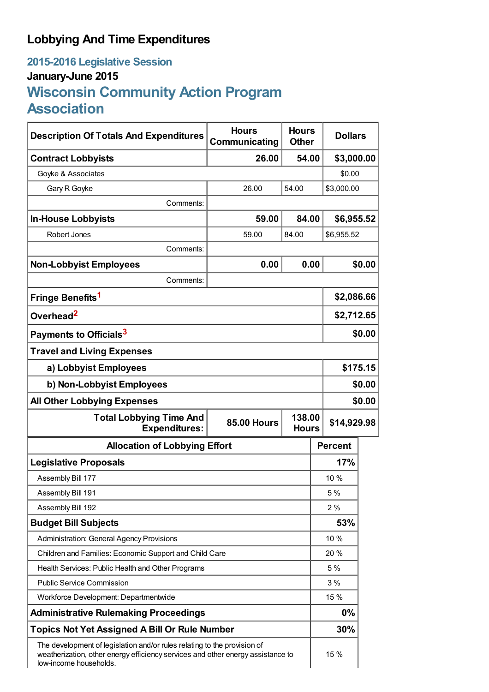# **Lobbying And Time Expenditures**

# **2015-2016 Legislative Session January-June 2015 Wisconsin Community Action Program Association**

| <b>Description Of Totals And Expenditures</b>                                                                                                                                         | <b>Hours</b><br>Communicating                | <b>Hours</b><br><b>Other</b> |                | <b>Dollars</b> |        |
|---------------------------------------------------------------------------------------------------------------------------------------------------------------------------------------|----------------------------------------------|------------------------------|----------------|----------------|--------|
| <b>Contract Lobbyists</b>                                                                                                                                                             | 26.00                                        | 54.00                        |                | \$3,000.00     |        |
| Goyke & Associates                                                                                                                                                                    |                                              |                              |                | \$0.00         |        |
| Gary R Goyke                                                                                                                                                                          | 26.00                                        | 54.00                        |                | \$3,000.00     |        |
| Comments:                                                                                                                                                                             |                                              |                              |                |                |        |
| <b>In-House Lobbyists</b>                                                                                                                                                             | 59.00                                        | 84.00                        |                | \$6,955.52     |        |
| Robert Jones                                                                                                                                                                          | 59.00                                        | 84.00                        |                | \$6,955.52     |        |
| Comments:                                                                                                                                                                             |                                              |                              |                |                |        |
| <b>Non-Lobbyist Employees</b>                                                                                                                                                         | 0.00                                         | 0.00                         |                |                | \$0.00 |
| Comments:                                                                                                                                                                             |                                              |                              |                |                |        |
| Fringe Benefits <sup>1</sup>                                                                                                                                                          |                                              |                              |                | \$2,086.66     |        |
| Overhead <sup>2</sup>                                                                                                                                                                 |                                              |                              |                | \$2,712.65     |        |
| Payments to Officials <sup>3</sup>                                                                                                                                                    |                                              |                              |                | \$0.00         |        |
| <b>Travel and Living Expenses</b>                                                                                                                                                     |                                              |                              |                |                |        |
| a) Lobbyist Employees                                                                                                                                                                 |                                              |                              |                | \$175.15       |        |
| b) Non-Lobbyist Employees                                                                                                                                                             |                                              |                              |                | \$0.00         |        |
| <b>All Other Lobbying Expenses</b>                                                                                                                                                    |                                              |                              |                |                | \$0.00 |
| <b>Total Lobbying Time And</b><br><b>Expenditures:</b>                                                                                                                                | 138.00<br><b>85.00 Hours</b><br><b>Hours</b> |                              |                | \$14,929.98    |        |
| <b>Allocation of Lobbying Effort</b>                                                                                                                                                  |                                              |                              | <b>Percent</b> |                |        |
| <b>Legislative Proposals</b>                                                                                                                                                          |                                              |                              |                | 17%            |        |
| Assembly Bill 177                                                                                                                                                                     |                                              |                              |                | 10 %           |        |
| Assembly Bill 191                                                                                                                                                                     |                                              |                              |                | 5 %            |        |
| Assembly Bill 192                                                                                                                                                                     |                                              |                              |                | 2%             |        |
| <b>Budget Bill Subjects</b>                                                                                                                                                           |                                              |                              |                | 53%            |        |
| <b>Administration: General Agency Provisions</b>                                                                                                                                      |                                              |                              | 10 %           |                |        |
| Children and Families: Economic Support and Child Care                                                                                                                                |                                              |                              |                | 20 %           |        |
| Health Services: Public Health and Other Programs                                                                                                                                     |                                              |                              |                | 5 %            |        |
| <b>Public Service Commission</b>                                                                                                                                                      |                                              |                              |                | 3%             |        |
| Workforce Development: Departmentwide                                                                                                                                                 |                                              |                              |                | 15 %           |        |
| <b>Administrative Rulemaking Proceedings</b>                                                                                                                                          |                                              |                              |                | $0\%$          |        |
| <b>Topics Not Yet Assigned A Bill Or Rule Number</b>                                                                                                                                  |                                              |                              |                | 30%            |        |
| The development of legislation and/or rules relating to the provision of<br>weatherization, other energy efficiency services and other energy assistance to<br>low-income households. |                                              |                              |                | 15 %           |        |